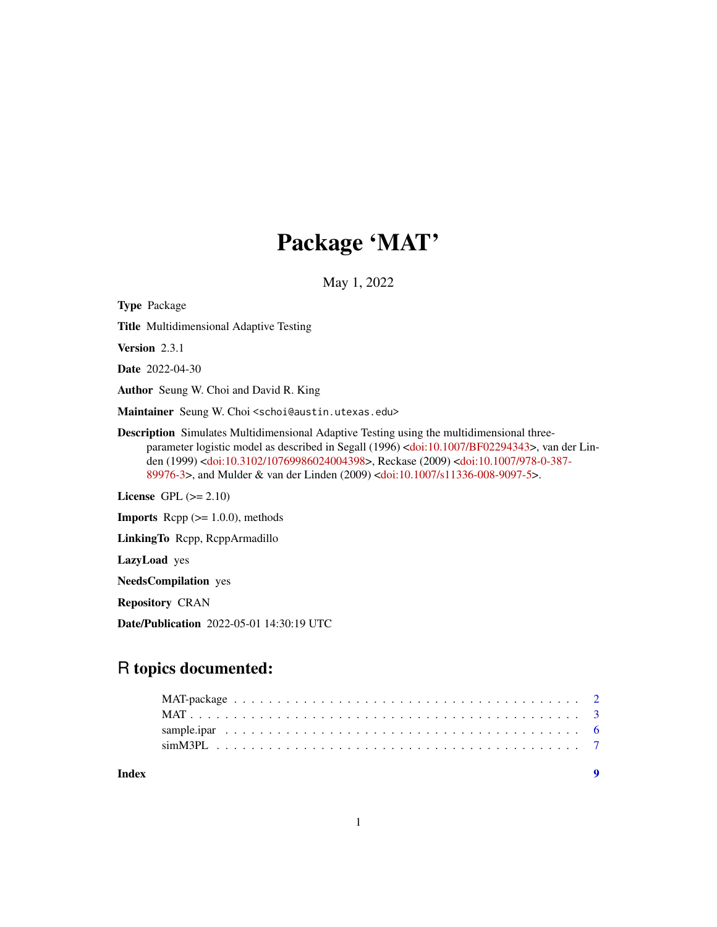# Package 'MAT'

May 1, 2022

Type Package Title Multidimensional Adaptive Testing Version 2.3.1 Date 2022-04-30 Author Seung W. Choi and David R. King Maintainer Seung W. Choi <schoi@austin.utexas.edu> Description Simulates Multidimensional Adaptive Testing using the multidimensional threeparameter logistic model as described in Segall (1996) [<doi:10.1007/BF02294343>](https://doi.org/10.1007/BF02294343), van der Linden (1999) [<doi:10.3102/10769986024004398>](https://doi.org/10.3102/10769986024004398), Reckase (2009) [<doi:10.1007/978-0-387-](https://doi.org/10.1007/978-0-387-89976-3) [89976-3>](https://doi.org/10.1007/978-0-387-89976-3), and Mulder & van der Linden (2009) [<doi:10.1007/s11336-008-9097-5>](https://doi.org/10.1007/s11336-008-9097-5). License GPL  $(>= 2.10)$ **Imports** Rcpp  $(>= 1.0.0)$ , methods LinkingTo Rcpp, RcppArmadillo LazyLoad yes

NeedsCompilation yes

Repository CRAN

Date/Publication 2022-05-01 14:30:19 UTC

# R topics documented:

| Index |  |
|-------|--|
|       |  |
|       |  |
|       |  |
|       |  |

1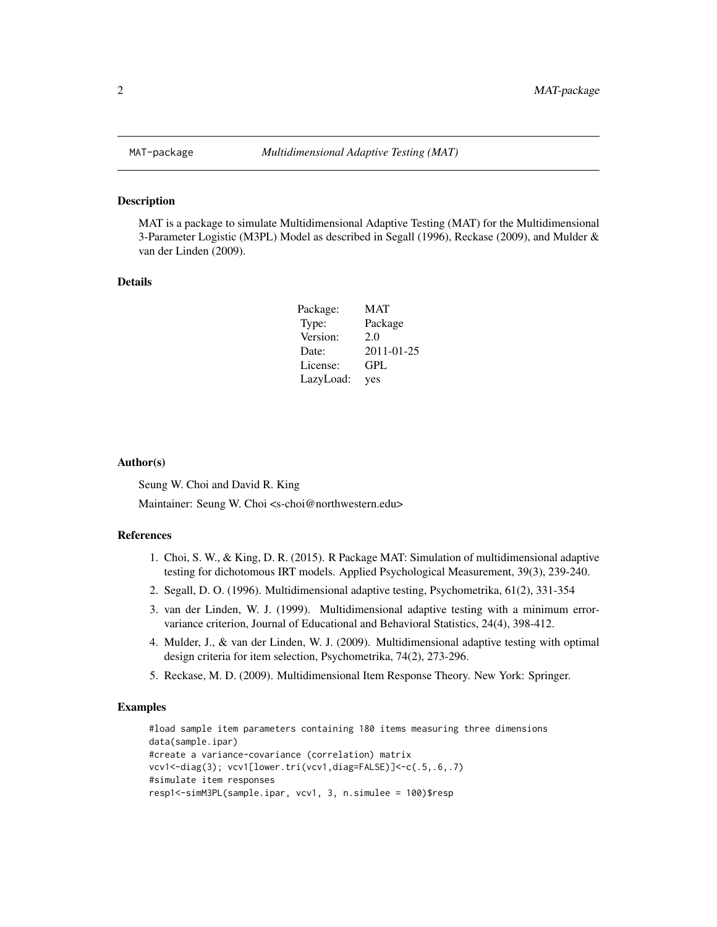<span id="page-1-0"></span>

#### Description

MAT is a package to simulate Multidimensional Adaptive Testing (MAT) for the Multidimensional 3-Parameter Logistic (M3PL) Model as described in Segall (1996), Reckase (2009), and Mulder & van der Linden (2009).

## Details

| Package:  | <b>MAT</b> |
|-----------|------------|
| Type:     | Package    |
| Version:  | 2.0        |
| Date:     | 2011-01-25 |
| License:  | GPL        |
| LazyLoad: | yes        |

#### Author(s)

Seung W. Choi and David R. King

Maintainer: Seung W. Choi <s-choi@northwestern.edu>

# References

- 1. Choi, S. W., & King, D. R. (2015). R Package MAT: Simulation of multidimensional adaptive testing for dichotomous IRT models. Applied Psychological Measurement, 39(3), 239-240.
- 2. Segall, D. O. (1996). Multidimensional adaptive testing, Psychometrika, 61(2), 331-354
- 3. van der Linden, W. J. (1999). Multidimensional adaptive testing with a minimum errorvariance criterion, Journal of Educational and Behavioral Statistics, 24(4), 398-412.
- 4. Mulder, J., & van der Linden, W. J. (2009). Multidimensional adaptive testing with optimal design criteria for item selection, Psychometrika, 74(2), 273-296.
- 5. Reckase, M. D. (2009). Multidimensional Item Response Theory. New York: Springer.

#### Examples

```
#load sample item parameters containing 180 items measuring three dimensions
data(sample.ipar)
#create a variance-covariance (correlation) matrix
vcv1<-diag(3); vcv1[lower.tri(vcv1,diag=FALSE)]<-c(.5,.6,.7)
#simulate item responses
resp1<-simM3PL(sample.ipar, vcv1, 3, n.simulee = 100)$resp
```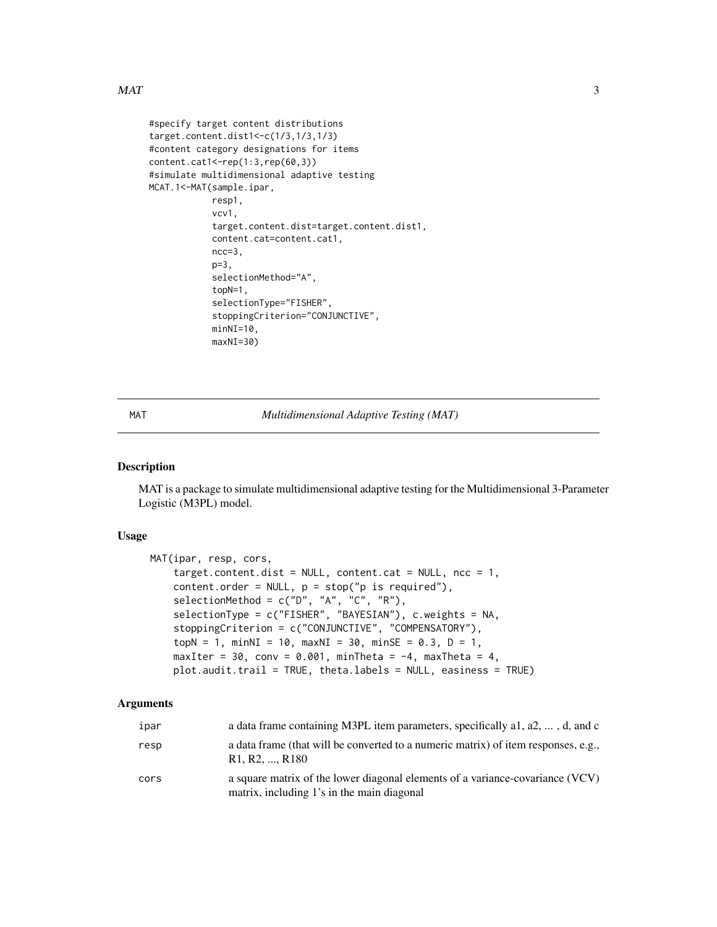# <span id="page-2-0"></span> $MAT$  3

```
#specify target content distributions
target.content.dist1<-c(1/3,1/3,1/3)
#content category designations for items
content.cat1<-rep(1:3,rep(60,3))
#simulate multidimensional adaptive testing
MCAT.1<-MAT(sample.ipar,
            resp1,
            vcv1,
            target.content.dist=target.content.dist1,
            content.cat=content.cat1,
            ncc=3,
            p=3,
            selectionMethod="A",
            topN=1,
            selectionType="FISHER",
            stoppingCriterion="CONJUNCTIVE",
            minNI=10,
            maxNI=30)
```
MAT *Multidimensional Adaptive Testing (MAT)*

# Description

MAT is a package to simulate multidimensional adaptive testing for the Multidimensional 3-Parameter Logistic (M3PL) model.

# Usage

```
MAT(ipar, resp, cors,
    target.content.dist = NULL, content.cat = NULL, ncc = 1,
    content.order = NULL, p = stop("p is required"),
    selectionMethod = c("D", "A", "C", "R"),
    selectionType = c("FISHER", "BAYESIAN"), c.weights = NA,
    stoppingCriterion = c("CONJUNCTIVE", "COMPENSATORY"),
    topN = 1, minNI = 10, maxNI = 30, minSE = 0.3, D = 1,
    maxIter = 30, conv = 0.001, minTheta = -4, maxTheta = 4,
    plot.audit.trail = TRUE, theta.labels = NULL, easiness = TRUE)
```
#### Arguments

| ipar | a data frame containing M3PL item parameters, specifically a1, a2, , d, and c                                                              |
|------|--------------------------------------------------------------------------------------------------------------------------------------------|
| resp | a data frame (that will be converted to a numeric matrix) of item responses, e.g.,<br>R <sub>1</sub> , R <sub>2</sub> , , R <sub>180</sub> |
| cors | a square matrix of the lower diagonal elements of a variance-covariance (VCV)<br>matrix, including 1's in the main diagonal                |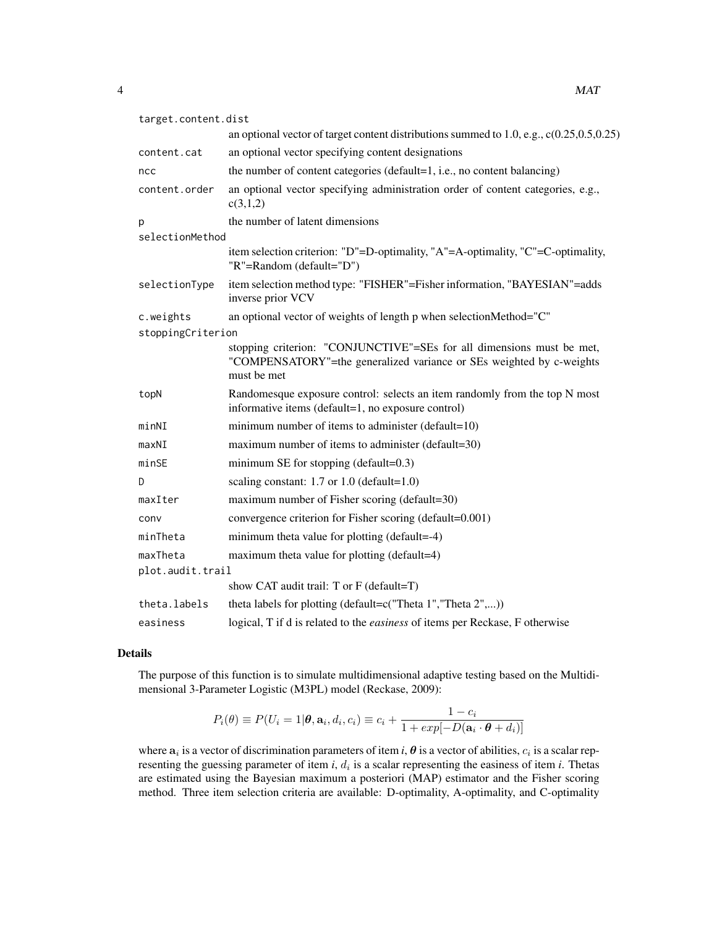| target.content.dist  |                                                                                                                                                              |  |
|----------------------|--------------------------------------------------------------------------------------------------------------------------------------------------------------|--|
|                      | an optional vector of target content distributions summed to 1.0, e.g., $c(0.25, 0.5, 0.25)$                                                                 |  |
| content.cat          | an optional vector specifying content designations                                                                                                           |  |
| ncc                  | the number of content categories (default=1, i.e., no content balancing)                                                                                     |  |
| content.order        | an optional vector specifying administration order of content categories, e.g.,<br>c(3,1,2)                                                                  |  |
| p<br>selectionMethod | the number of latent dimensions                                                                                                                              |  |
|                      | item selection criterion: "D"=D-optimality, "A"=A-optimality, "C"=C-optimality,<br>"R"=Random (default="D")                                                  |  |
| selectionType        | item selection method type: "FISHER"=Fisher information, "BAYESIAN"=adds<br>inverse prior VCV                                                                |  |
| c.weights            | an optional vector of weights of length p when selectionMethod="C"                                                                                           |  |
| stoppingCriterion    |                                                                                                                                                              |  |
|                      | stopping criterion: "CONJUNCTIVE"=SEs for all dimensions must be met,<br>"COMPENSATORY"=the generalized variance or SEs weighted by c-weights<br>must be met |  |
| topN                 | Randomesque exposure control: selects an item randomly from the top N most<br>informative items (default=1, no exposure control)                             |  |
| minNI                | minimum number of items to administer (default=10)                                                                                                           |  |
| maxNI                | maximum number of items to administer (default=30)                                                                                                           |  |
| minSE                | minimum SE for stopping (default= $0.3$ )                                                                                                                    |  |
| D                    | scaling constant: $1.7$ or $1.0$ (default= $1.0$ )                                                                                                           |  |
| maxIter              | maximum number of Fisher scoring (default=30)                                                                                                                |  |
| conv                 | convergence criterion for Fisher scoring (default=0.001)                                                                                                     |  |
| minTheta             | minimum theta value for plotting (default=-4)                                                                                                                |  |
| maxTheta             | maximum theta value for plotting (default=4)                                                                                                                 |  |
| plot.audit.trail     |                                                                                                                                                              |  |
|                      | show CAT audit trail: T or F (default=T)                                                                                                                     |  |
| theta.labels         | theta labels for plotting (default= $c("Theta 1", "Theta 2",)$ )                                                                                             |  |
| easiness             | logical, T if d is related to the <i>easiness</i> of items per Reckase, F otherwise                                                                          |  |

# Details

The purpose of this function is to simulate multidimensional adaptive testing based on the Multidimensional 3-Parameter Logistic (M3PL) model (Reckase, 2009):

$$
P_i(\theta) \equiv P(U_i = 1 | \theta, \mathbf{a}_i, d_i, c_i) \equiv c_i + \frac{1 - c_i}{1 + exp[-D(\mathbf{a}_i \cdot \theta + d_i)]}
$$

where  $a_i$  is a vector of discrimination parameters of item *i*,  $\theta$  is a vector of abilities,  $c_i$  is a scalar representing the guessing parameter of item  $i$ ,  $d_i$  is a scalar representing the easiness of item  $i$ . Thetas are estimated using the Bayesian maximum a posteriori (MAP) estimator and the Fisher scoring method. Three item selection criteria are available: D-optimality, A-optimality, and C-optimality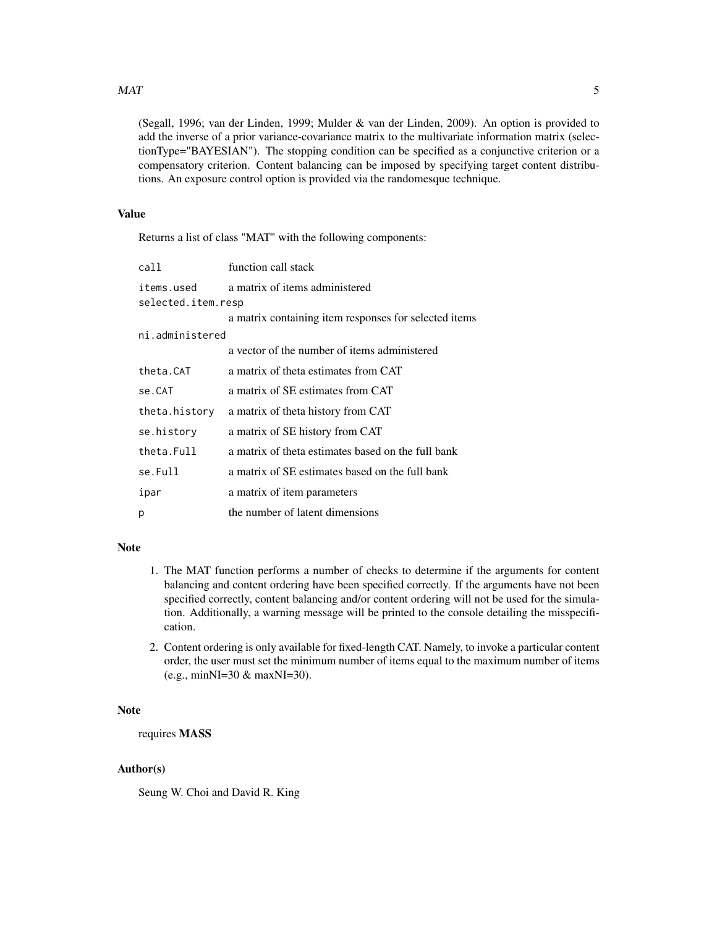# $MAT$  5

(Segall, 1996; van der Linden, 1999; Mulder & van der Linden, 2009). An option is provided to add the inverse of a prior variance-covariance matrix to the multivariate information matrix (selectionType="BAYESIAN"). The stopping condition can be specified as a conjunctive criterion or a compensatory criterion. Content balancing can be imposed by specifying target content distributions. An exposure control option is provided via the randomesque technique.

# Value

Returns a list of class "MAT" with the following components:

| call               | function call stack                                   |  |  |  |
|--------------------|-------------------------------------------------------|--|--|--|
| items.used         | a matrix of items administered                        |  |  |  |
| selected.item.resp |                                                       |  |  |  |
|                    | a matrix containing item responses for selected items |  |  |  |
| ni.administered    |                                                       |  |  |  |
|                    | a vector of the number of items administered          |  |  |  |
| theta.CAT          | a matrix of theta estimates from CAT                  |  |  |  |
| se.CAT             | a matrix of SE estimates from CAT                     |  |  |  |
| theta.history      | a matrix of theta history from CAT                    |  |  |  |
| se.history         | a matrix of SE history from CAT                       |  |  |  |
| theta.Full         | a matrix of theta estimates based on the full bank    |  |  |  |
| se.Full            | a matrix of SE estimates based on the full bank       |  |  |  |
| ipar               | a matrix of item parameters                           |  |  |  |
| p                  | the number of latent dimensions                       |  |  |  |

# Note

- 1. The MAT function performs a number of checks to determine if the arguments for content balancing and content ordering have been specified correctly. If the arguments have not been specified correctly, content balancing and/or content ordering will not be used for the simulation. Additionally, a warning message will be printed to the console detailing the misspecification.
- 2. Content ordering is only available for fixed-length CAT. Namely, to invoke a particular content order, the user must set the minimum number of items equal to the maximum number of items (e.g., minNI=30 & maxNI=30).

# Note

# requires MASS

# Author(s)

Seung W. Choi and David R. King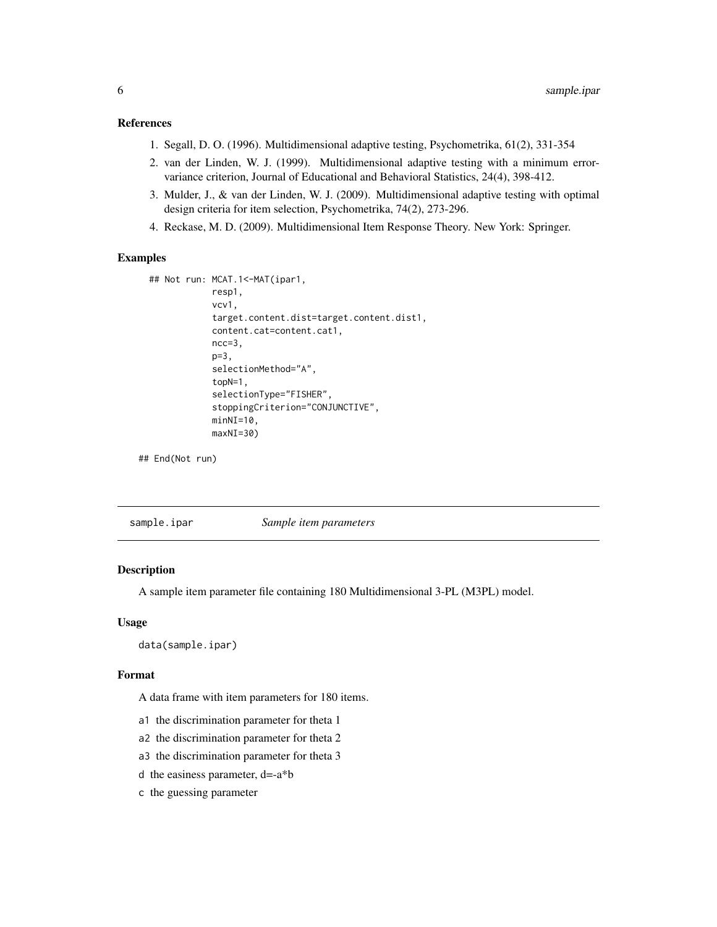# <span id="page-5-0"></span>References

- 1. Segall, D. O. (1996). Multidimensional adaptive testing, Psychometrika, 61(2), 331-354
- 2. van der Linden, W. J. (1999). Multidimensional adaptive testing with a minimum errorvariance criterion, Journal of Educational and Behavioral Statistics, 24(4), 398-412.
- 3. Mulder, J., & van der Linden, W. J. (2009). Multidimensional adaptive testing with optimal design criteria for item selection, Psychometrika, 74(2), 273-296.
- 4. Reckase, M. D. (2009). Multidimensional Item Response Theory. New York: Springer.

# Examples

```
## Not run: MCAT.1<-MAT(ipar1,
            resp1,
            vcv1,
            target.content.dist=target.content.dist1,
            content.cat=content.cat1,
            ncc=3,
            p=3,
            selectionMethod="A",
            topN=1,
            selectionType="FISHER",
            stoppingCriterion="CONJUNCTIVE",
            minNI=10,
            maxNI=30)
```
## End(Not run)

sample.ipar *Sample item parameters*

# Description

A sample item parameter file containing 180 Multidimensional 3-PL (M3PL) model.

# Usage

data(sample.ipar)

# Format

A data frame with item parameters for 180 items.

- a1 the discrimination parameter for theta 1
- a2 the discrimination parameter for theta 2
- a3 the discrimination parameter for theta 3
- d the easiness parameter, d=-a\*b
- c the guessing parameter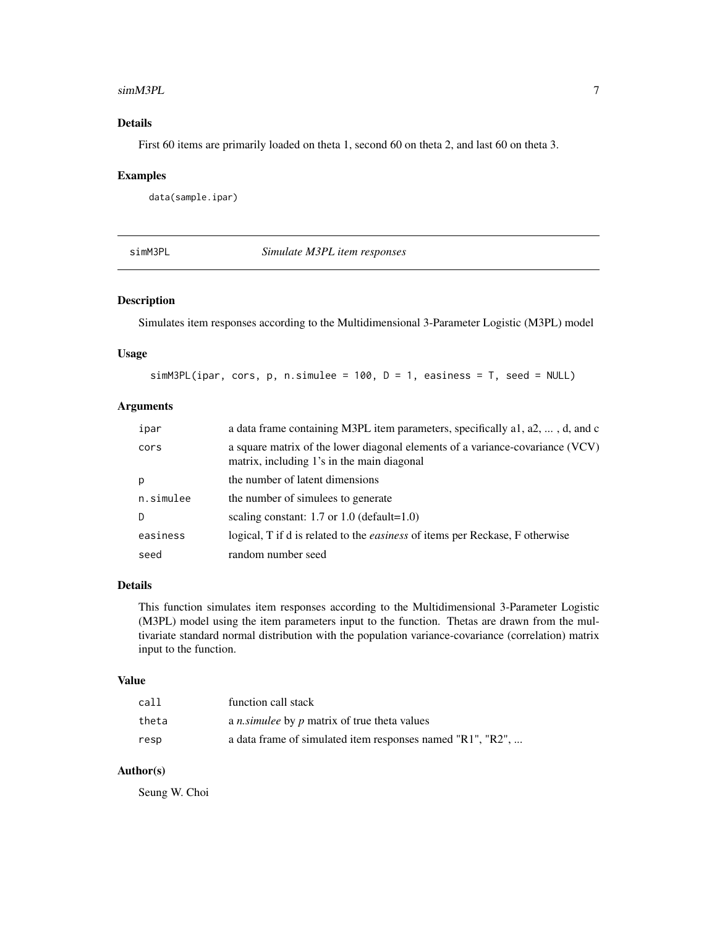#### <span id="page-6-0"></span>simM3PL 7

# Details

First 60 items are primarily loaded on theta 1, second 60 on theta 2, and last 60 on theta 3.

#### Examples

data(sample.ipar)

simM3PL *Simulate M3PL item responses*

# Description

Simulates item responses according to the Multidimensional 3-Parameter Logistic (M3PL) model

# Usage

 $simM3PL(ipar, cors, p, n.simulee = 100, D = 1, easines = T, seed = NULL)$ 

# Arguments

| ipar      | a data frame containing M3PL item parameters, specifically a1, a2, , d, and c                                               |
|-----------|-----------------------------------------------------------------------------------------------------------------------------|
| cors      | a square matrix of the lower diagonal elements of a variance-covariance (VCV)<br>matrix, including 1's in the main diagonal |
| p         | the number of latent dimensions                                                                                             |
| n.simulee | the number of simulees to generate                                                                                          |
| D         | scaling constant: $1.7$ or $1.0$ (default= $1.0$ )                                                                          |
| easiness  | logical, T if d is related to the <i>easiness</i> of items per Reckase, F otherwise                                         |
| seed      | random number seed                                                                                                          |

# Details

This function simulates item responses according to the Multidimensional 3-Parameter Logistic (M3PL) model using the item parameters input to the function. Thetas are drawn from the multivariate standard normal distribution with the population variance-covariance (correlation) matrix input to the function.

## Value

| call  | function call stack                                        |
|-------|------------------------------------------------------------|
| theta | a <i>n</i> simulee by <i>p</i> matrix of true theta values |
| resp  | a data frame of simulated item responses named "R1", "R2", |

# Author(s)

Seung W. Choi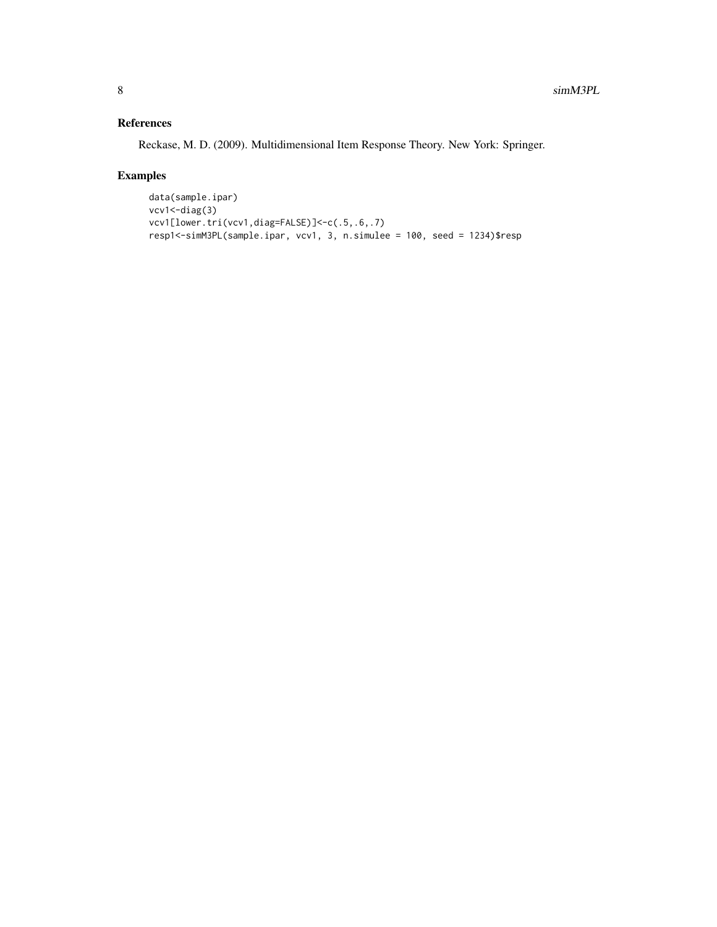# References

Reckase, M. D. (2009). Multidimensional Item Response Theory. New York: Springer.

# Examples

```
data(sample.ipar)
vcv1 <- diag(3)
vcv1[lower.tri(vcv1,diag=FALSE)]<-c(.5,.6,.7)
resp1<-simM3PL(sample.ipar, vcv1, 3, n.simulee = 100, seed = 1234)$resp
```